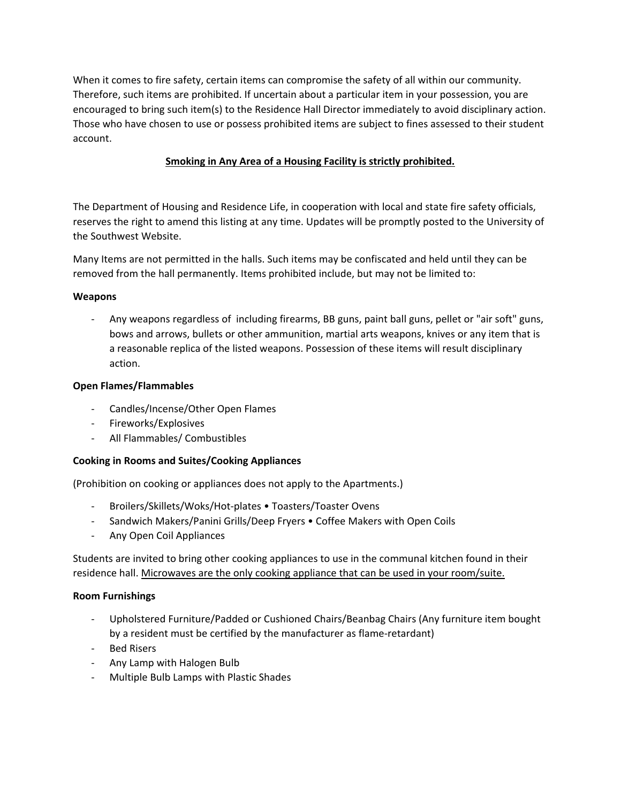When it comes to fire safety, certain items can compromise the safety of all within our community. Therefore, such items are prohibited. If uncertain about a particular item in your possession, you are encouraged to bring such item(s) to the Residence Hall Director immediately to avoid disciplinary action. Those who have chosen to use or possess prohibited items are subject to fines assessed to their student account.

# **Smoking in Any Area of a Housing Facility is strictly prohibited.**

The Department of Housing and Residence Life, in cooperation with local and state fire safety officials, reserves the right to amend this listing at any time. Updates will be promptly posted to the University of the Southwest Website.

Many Items are not permitted in the halls. Such items may be confiscated and held until they can be removed from the hall permanently. Items prohibited include, but may not be limited to:

## **Weapons**

Any weapons regardless of including firearms, BB guns, paint ball guns, pellet or "air soft" guns, bows and arrows, bullets or other ammunition, martial arts weapons, knives or any item that is a reasonable replica of the listed weapons. Possession of these items will result disciplinary action.

## **Open Flames/Flammables**

- Candles/Incense/Other Open Flames
- Fireworks/Explosives
- All Flammables/ Combustibles

## **Cooking in Rooms and Suites/Cooking Appliances**

(Prohibition on cooking or appliances does not apply to the Apartments.)

- Broilers/Skillets/Woks/Hot-plates Toasters/Toaster Ovens
- Sandwich Makers/Panini Grills/Deep Fryers Coffee Makers with Open Coils
- Any Open Coil Appliances

Students are invited to bring other cooking appliances to use in the communal kitchen found in their residence hall. Microwaves are the only cooking appliance that can be used in your room/suite.

#### **Room Furnishings**

- Upholstered Furniture/Padded or Cushioned Chairs/Beanbag Chairs (Any furniture item bought by a resident must be certified by the manufacturer as flame-retardant)
- Bed Risers
- Any Lamp with Halogen Bulb
- Multiple Bulb Lamps with Plastic Shades